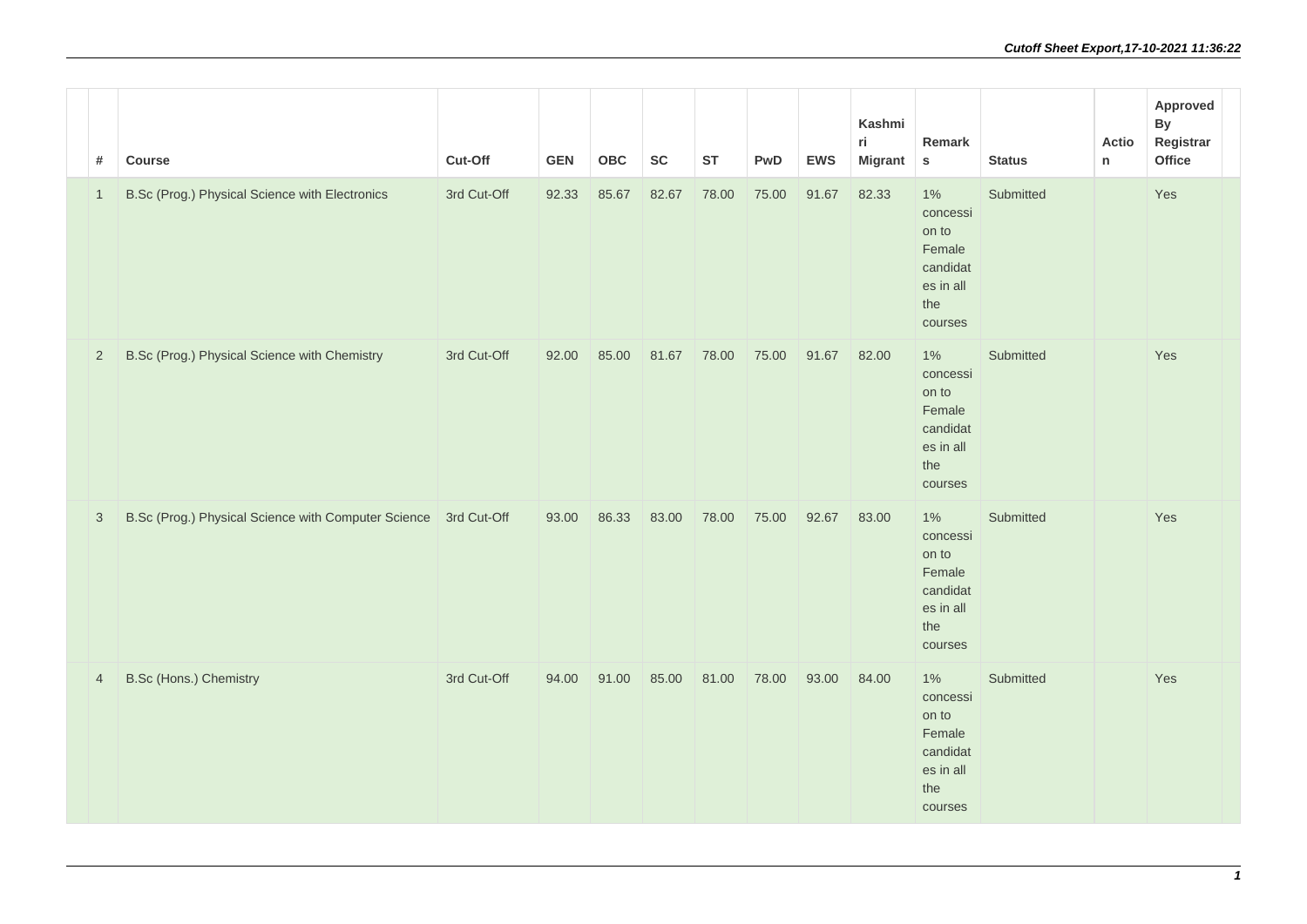| #              | Course                                                          | Cut-Off     | <b>GEN</b> | <b>OBC</b> | <b>SC</b> | <b>ST</b> | PwD   | <b>EWS</b> | Kashmi<br>ri.<br><b>Migrant</b> | Remark<br>$\mathsf{s}$                                                          | <b>Status</b> |
|----------------|-----------------------------------------------------------------|-------------|------------|------------|-----------|-----------|-------|------------|---------------------------------|---------------------------------------------------------------------------------|---------------|
| $\mathbf{1}$   | B.Sc (Prog.) Physical Science with Electronics                  | 3rd Cut-Off | 92.33      | 85.67      | 82.67     | 78.00     | 75.00 | 91.67      | 82.33                           | $1\%$<br>concessi<br>on to<br>Female<br>candidat<br>es in all<br>the<br>courses | Submitted     |
| $\overline{2}$ | B.Sc (Prog.) Physical Science with Chemistry                    | 3rd Cut-Off | 92.00      | 85.00      | 81.67     | 78.00     | 75.00 | 91.67      | 82.00                           | 1%<br>concessi<br>on to<br>Female<br>candidat<br>es in all<br>the<br>courses    | Submitted     |
| $\sqrt{3}$     | B.Sc (Prog.) Physical Science with Computer Science 3rd Cut-Off |             | 93.00      | 86.33      | 83.00     | 78.00     | 75.00 | 92.67      | 83.00                           | $1\%$<br>concessi<br>on to<br>Female<br>candidat<br>es in all<br>the<br>courses | Submitted     |
| $\overline{4}$ | B.Sc (Hons.) Chemistry                                          | 3rd Cut-Off | 94.00      | 91.00      | 85.00     | 81.00     | 78.00 | 93.00      | 84.00                           | 1%<br>concessi<br>on to<br>Female<br>candidat<br>es in all<br>the<br>courses    | Submitted     |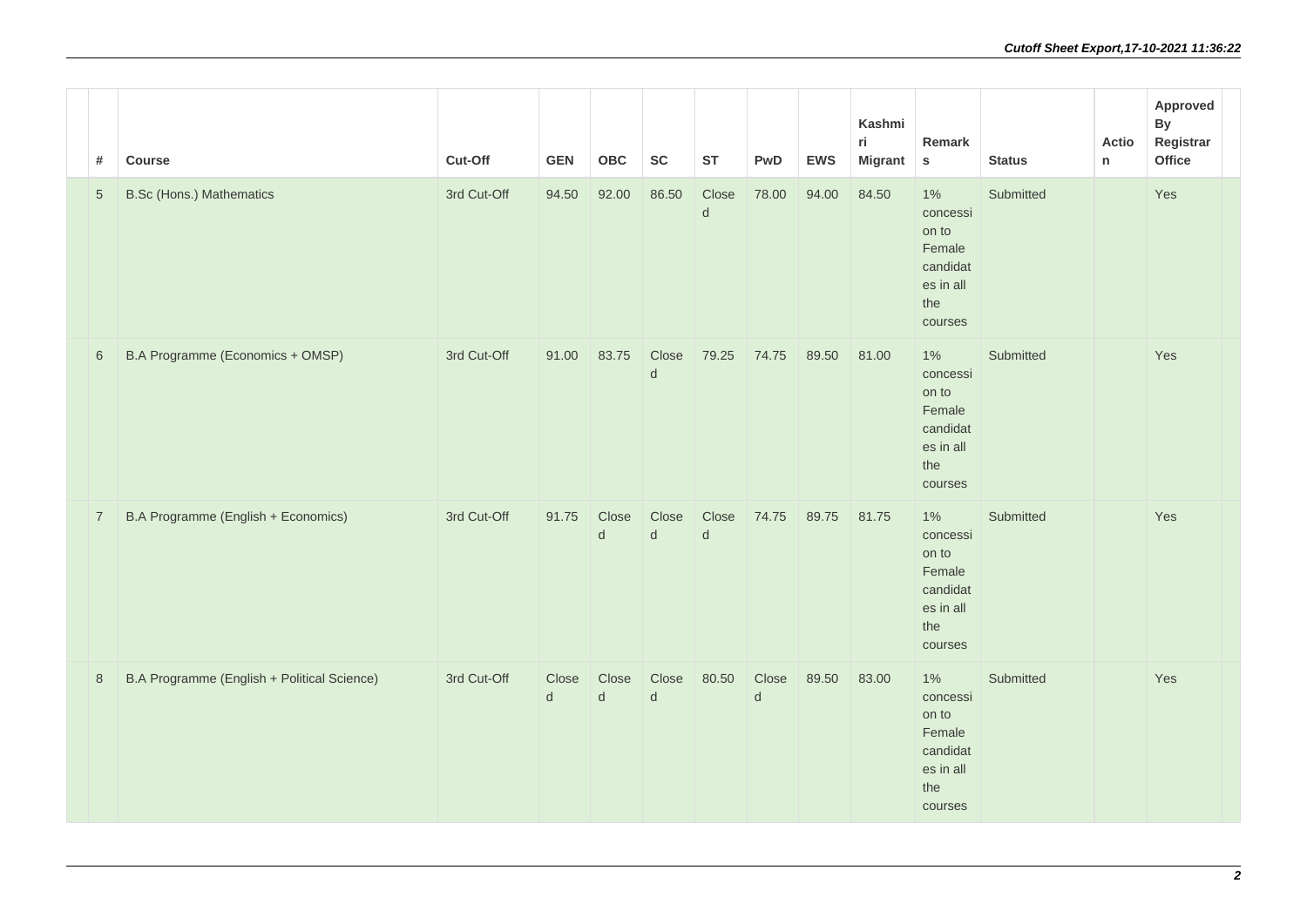| #              | Course                                      | Cut-Off     | <b>GEN</b>            | <b>OBC</b>       | <b>SC</b>             | <b>ST</b>             | PwD              | <b>EWS</b> | Kashmi<br>ri.<br><b>Migrant</b> | Remark<br>$\mathbf S$                                                           | <b>Status</b> |
|----------------|---------------------------------------------|-------------|-----------------------|------------------|-----------------------|-----------------------|------------------|------------|---------------------------------|---------------------------------------------------------------------------------|---------------|
| $\sqrt{5}$     | <b>B.Sc (Hons.) Mathematics</b>             | 3rd Cut-Off | 94.50                 | 92.00            | 86.50                 | Close<br>d            | 78.00            | 94.00      | 84.50                           | $1\%$<br>concessi<br>on to<br>Female<br>candidat<br>es in all<br>the<br>courses | Submitted     |
| $\,6\,$        | B.A Programme (Economics + OMSP)            | 3rd Cut-Off | 91.00                 | 83.75            | Close<br>d            | 79.25                 | 74.75            | 89.50      | 81.00                           | 1%<br>concessi<br>on to<br>Female<br>candidat<br>es in all<br>the<br>courses    | Submitted     |
| $\overline{7}$ | B.A Programme (English + Economics)         | 3rd Cut-Off | 91.75                 | Close<br>$\sf d$ | Close<br>$\mathsf{d}$ | Close<br>$\mathsf{d}$ | 74.75            | 89.75      | 81.75                           | 1%<br>concessi<br>on to<br>Female<br>candidat<br>es in all<br>the<br>courses    | Submitted     |
| $\,8\,$        | B.A Programme (English + Political Science) | 3rd Cut-Off | Close<br>$\mathsf{d}$ | Close<br>$\sf d$ | Close<br>$\mathsf{d}$ | 80.50                 | Close<br>$\sf d$ | 89.50      | 83.00                           | 1%<br>concessi<br>on to<br>Female<br>candidat<br>es in all<br>the<br>courses    | Submitted     |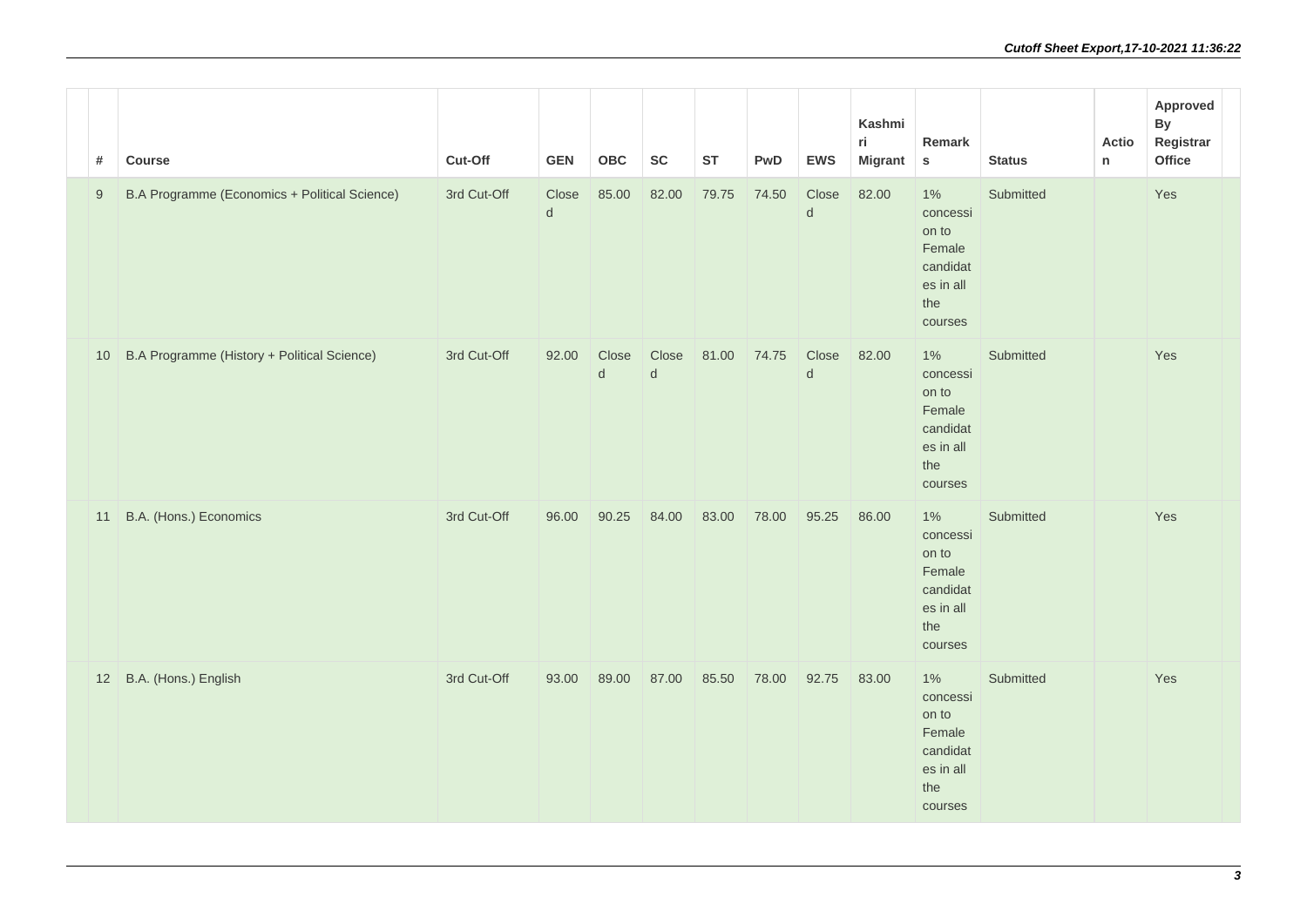| #                | Course                                        | Cut-Off     | <b>GEN</b>            | <b>OBC</b>       | ${\sf SC}$ | <b>ST</b> | PwD   | <b>EWS</b>       | Kashmi<br>ri.<br><b>Migrant</b> | Remark<br>${\sf s}$                                                             | <b>Status</b> |
|------------------|-----------------------------------------------|-------------|-----------------------|------------------|------------|-----------|-------|------------------|---------------------------------|---------------------------------------------------------------------------------|---------------|
| $\boldsymbol{9}$ | B.A Programme (Economics + Political Science) | 3rd Cut-Off | Close<br>$\mathsf{d}$ | 85.00            | 82.00      | 79.75     | 74.50 | Close<br>$\sf d$ | 82.00                           | $1\%$<br>concessi<br>on to<br>Female<br>candidat<br>es in all<br>the<br>courses | Submitted     |
| 10               | B.A Programme (History + Political Science)   | 3rd Cut-Off | 92.00                 | Close<br>$\sf d$ | Close<br>d | 81.00     | 74.75 | Close<br>$\sf d$ | 82.00                           | 1%<br>concessi<br>on to<br>Female<br>candidat<br>es in all<br>the<br>courses    | Submitted     |
| 11               | B.A. (Hons.) Economics                        | 3rd Cut-Off | 96.00                 | 90.25            | 84.00      | 83.00     | 78.00 | 95.25            | 86.00                           | 1%<br>concessi<br>on to<br>Female<br>candidat<br>es in all<br>the<br>courses    | Submitted     |
| 12               | B.A. (Hons.) English                          | 3rd Cut-Off | 93.00                 | 89.00            | 87.00      | 85.50     | 78.00 | 92.75            | 83.00                           | 1%<br>concessi<br>on to<br>Female<br>candidat<br>es in all<br>the<br>courses    | Submitted     |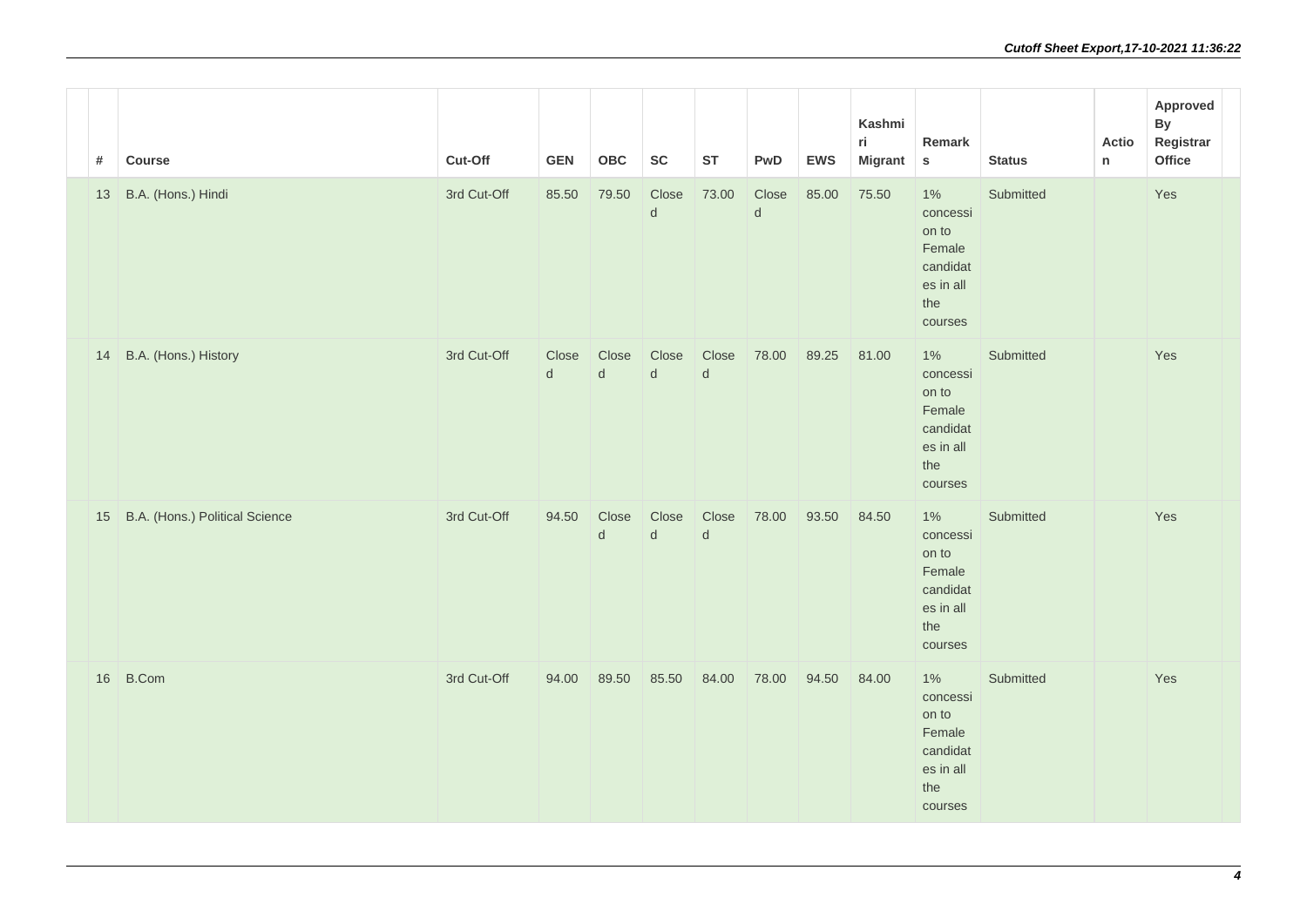| #  | Course                         | Cut-Off     | <b>GEN</b> | OBC                | <b>SC</b>             | <b>ST</b>             | PwD                   | <b>EWS</b> | Kashmi<br>ri<br><b>Migrant</b> | Remark<br>${\sf s}$                                                             | <b>Status</b> |
|----|--------------------------------|-------------|------------|--------------------|-----------------------|-----------------------|-----------------------|------------|--------------------------------|---------------------------------------------------------------------------------|---------------|
| 13 | B.A. (Hons.) Hindi             | 3rd Cut-Off | 85.50      | 79.50              | Close<br>$\sf d$      | 73.00                 | Close<br>$\mathsf{d}$ | 85.00      | 75.50                          | 1%<br>concessi<br>on to<br>Female<br>candidat<br>es in all<br>the<br>courses    | Submitted     |
| 14 | B.A. (Hons.) History           | 3rd Cut-Off | Close<br>d | Close<br>${\sf d}$ | Close<br>$\mathsf{d}$ | Close<br>${\sf d}$    | 78.00                 | 89.25      | 81.00                          | $1\%$<br>concessi<br>on to<br>Female<br>candidat<br>es in all<br>the<br>courses | Submitted     |
| 15 | B.A. (Hons.) Political Science | 3rd Cut-Off | 94.50      | Close<br>${\sf d}$ | Close<br>$\mathsf{d}$ | Close<br>$\mathsf{d}$ | 78.00                 | 93.50      | 84.50                          | $1\%$<br>concessi<br>on to<br>Female<br>candidat<br>es in all<br>the<br>courses | Submitted     |
| 16 | B.Com                          | 3rd Cut-Off | 94.00      | 89.50              | 85.50                 | 84.00                 | 78.00                 | 94.50      | 84.00                          | 1%<br>concessi<br>on to<br>Female<br>candidat<br>es in all<br>the<br>courses    | Submitted     |